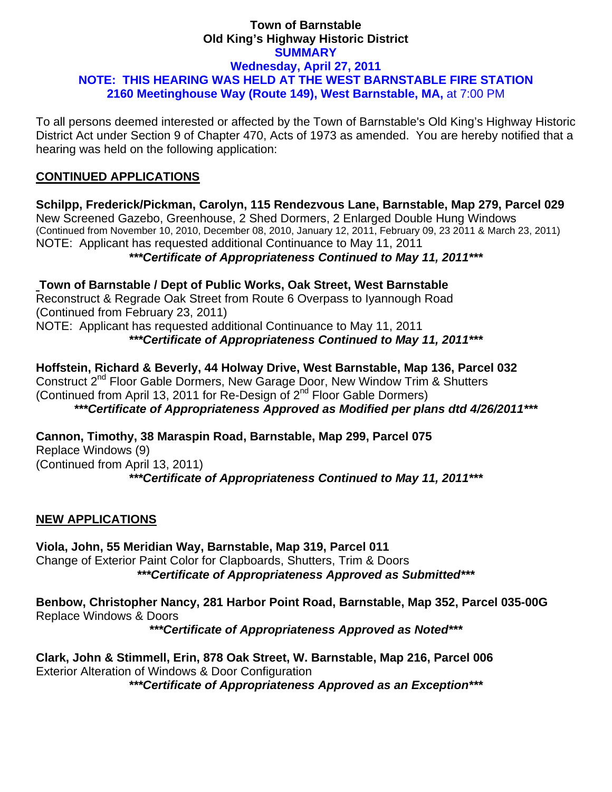### **Town of Barnstable Old King's Highway Historic District SUMMARY Wednesday, April 27, 2011 NOTE: THIS HEARING WAS HELD AT THE WEST BARNSTABLE FIRE STATION 2160 Meetinghouse Way (Route 149), West Barnstable, MA,** at 7:00 PM

To all persons deemed interested or affected by the Town of Barnstable's Old King's Highway Historic District Act under Section 9 of Chapter 470, Acts of 1973 as amended. You are hereby notified that a hearing was held on the following application:

# **CONTINUED APPLICATIONS**

**Schilpp, Frederick/Pickman, Carolyn, 115 Rendezvous Lane, Barnstable, Map 279, Parcel 029**  New Screened Gazebo, Greenhouse, 2 Shed Dormers, 2 Enlarged Double Hung Windows (Continued from November 10, 2010, December 08, 2010, January 12, 2011, February 09, 23 2011 & March 23, 2011) NOTE: Applicant has requested additional Continuance to May 11, 2011

*\*\*\*Certificate of Appropriateness Continued to May 11, 2011\*\*\** 

**Town of Barnstable / Dept of Public Works, Oak Street, West Barnstable**  Reconstruct & Regrade Oak Street from Route 6 Overpass to Iyannough Road (Continued from February 23, 2011) NOTE: Applicant has requested additional Continuance to May 11, 2011

*\*\*\*Certificate of Appropriateness Continued to May 11, 2011\*\*\** 

**Hoffstein, Richard & Beverly, 44 Holway Drive, West Barnstable, Map 136, Parcel 032**  Construct 2nd Floor Gable Dormers, New Garage Door, New Window Trim & Shutters (Continued from April 13, 2011 for Re-Design of  $2^{nd}$  Floor Gable Dormers) *\*\*\*Certificate of Appropriateness Approved as Modified per plans dtd 4/26/2011\*\*\** 

**Cannon, Timothy, 38 Maraspin Road, Barnstable, Map 299, Parcel 075**  Replace Windows (9) (Continued from April 13, 2011) *\*\*\*Certificate of Appropriateness Continued to May 11, 2011\*\*\** 

# **NEW APPLICATIONS**

**Viola, John, 55 Meridian Way, Barnstable, Map 319, Parcel 011**  Change of Exterior Paint Color for Clapboards, Shutters, Trim & Doors *\*\*\*Certificate of Appropriateness Approved as Submitted\*\*\** 

**Benbow, Christopher Nancy, 281 Harbor Point Road, Barnstable, Map 352, Parcel 035-00G**  Replace Windows & Doors

*\*\*\*Certificate of Appropriateness Approved as Noted\*\*\** 

**Clark, John & Stimmell, Erin, 878 Oak Street, W. Barnstable, Map 216, Parcel 006**  Exterior Alteration of Windows & Door Configuration *\*\*\*Certificate of Appropriateness Approved as an Exception\*\*\**